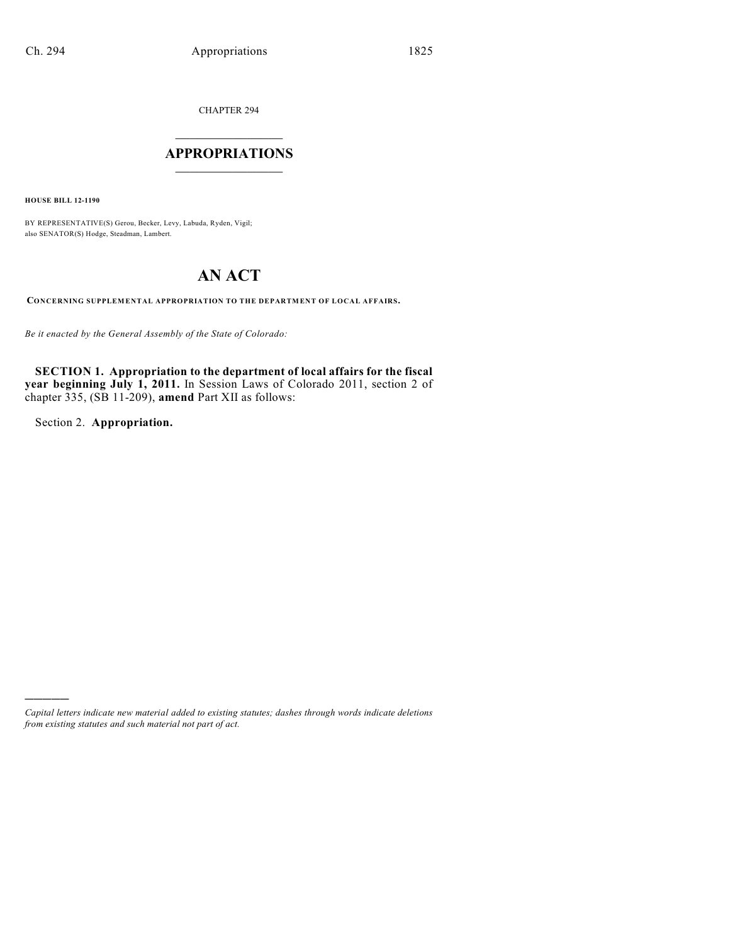CHAPTER 294

## $\mathcal{L}_\text{max}$  . The set of the set of the set of the set of the set of the set of the set of the set of the set of the set of the set of the set of the set of the set of the set of the set of the set of the set of the set **APPROPRIATIONS**  $\_$   $\_$   $\_$   $\_$   $\_$   $\_$   $\_$   $\_$

**HOUSE BILL 12-1190**

BY REPRESENTATIVE(S) Gerou, Becker, Levy, Labuda, Ryden, Vigil; also SENATOR(S) Hodge, Steadman, Lambert.

# **AN ACT**

**CONCERNING SUPPLEMENTAL APPROPRIATION TO THE DEPARTMENT OF LOCAL AFFAIRS.**

*Be it enacted by the General Assembly of the State of Colorado:*

**SECTION 1. Appropriation to the department of local affairs for the fiscal year beginning July 1, 2011.** In Session Laws of Colorado 2011, section 2 of chapter 335, (SB 11-209), **amend** Part XII as follows:

Section 2. **Appropriation.**

)))))

*Capital letters indicate new material added to existing statutes; dashes through words indicate deletions from existing statutes and such material not part of act.*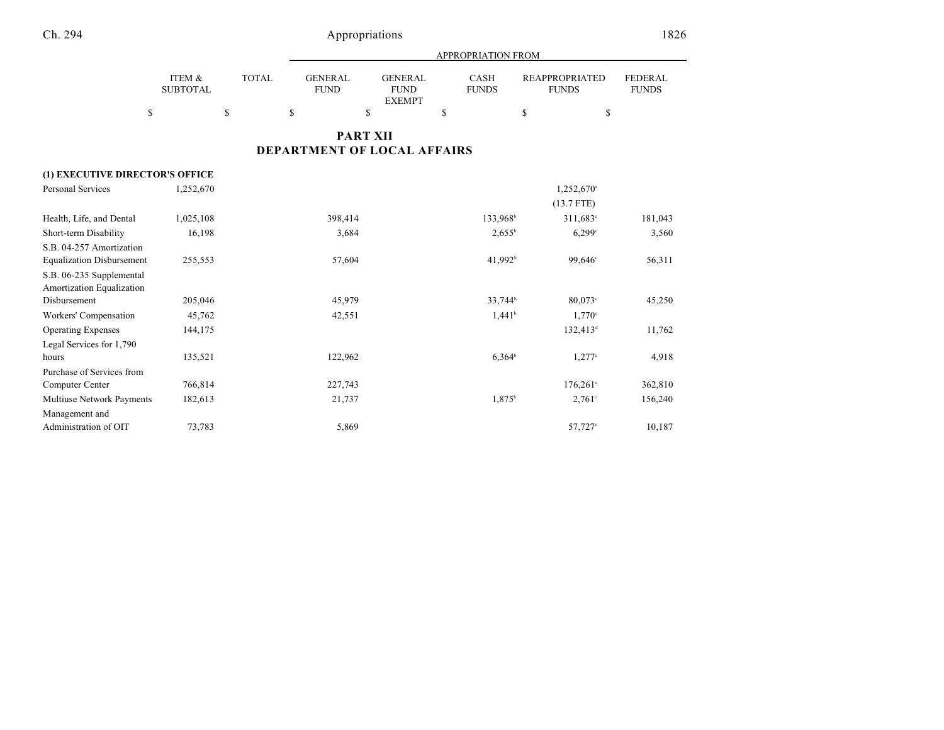|                                  |                           |              |                               |                                                | APPROPRIATION FROM          |                                       |                                |
|----------------------------------|---------------------------|--------------|-------------------------------|------------------------------------------------|-----------------------------|---------------------------------------|--------------------------------|
|                                  | ITEM &<br><b>SUBTOTAL</b> | <b>TOTAL</b> | <b>GENERAL</b><br><b>FUND</b> | <b>GENERAL</b><br><b>FUND</b><br><b>EXEMPT</b> | <b>CASH</b><br><b>FUNDS</b> | <b>REAPPROPRIATED</b><br><b>FUNDS</b> | <b>FEDERAL</b><br><b>FUNDS</b> |
| \$                               |                           | \$           | $\mathbf S$                   | \$                                             | \$                          | \$                                    | \$                             |
|                                  |                           |              |                               | <b>PART XII</b>                                |                             |                                       |                                |
|                                  |                           |              | DEPARTMENT OF LOCAL AFFAIRS   |                                                |                             |                                       |                                |
| (1) EXECUTIVE DIRECTOR'S OFFICE  |                           |              |                               |                                                |                             |                                       |                                |
| <b>Personal Services</b>         | 1,252,670                 |              |                               |                                                |                             | $1,252,670$ <sup>a</sup>              |                                |
|                                  |                           |              |                               |                                                |                             | $(13.7$ FTE)                          |                                |
| Health, Life, and Dental         | 1,025,108                 |              | 398,414                       |                                                | 133,968 <sup>b</sup>        | $311,683^{\circ}$                     | 181,043                        |
| Short-term Disability            | 16,198                    |              | 3,684                         |                                                | $2,655^{\rm b}$             | 6,299°                                | 3,560                          |
| S.B. 04-257 Amortization         |                           |              |                               |                                                |                             |                                       |                                |
| <b>Equalization Disbursement</b> | 255,553                   |              | 57,604                        |                                                | 41,992 <sup>b</sup>         | 99,646°                               | 56,311                         |
| S.B. 06-235 Supplemental         |                           |              |                               |                                                |                             |                                       |                                |
| Amortization Equalization        |                           |              |                               |                                                |                             |                                       |                                |
| Disbursement                     | 205,046                   |              | 45,979                        |                                                | 33,744 <sup>b</sup>         | $80,073$ °                            | 45,250                         |
| Workers' Compensation            | 45,762                    |              | 42,551                        |                                                | $1,441^{\circ}$             | $1,770^{\circ}$                       |                                |
| <b>Operating Expenses</b>        | 144,175                   |              |                               |                                                |                             | $132,413^d$                           | 11,762                         |
| Legal Services for 1,790         |                           |              |                               |                                                |                             |                                       |                                |
| hours                            | 135,521                   |              | 122,962                       |                                                | $6,364^b$                   | $1,277$ °                             | 4,918                          |
| Purchase of Services from        |                           |              |                               |                                                |                             |                                       |                                |
| Computer Center                  | 766,814                   |              | 227,743                       |                                                |                             | $176,261^{\circ}$                     | 362,810                        |
| Multiuse Network Payments        | 182,613                   |              | 21,737                        |                                                | 1,875 <sup>b</sup>          | $2,761^{\circ}$                       | 156,240                        |
| Management and                   |                           |              |                               |                                                |                             |                                       |                                |
| Administration of OIT            | 73,783                    |              | 5,869                         |                                                |                             | $57,727$ °                            | 10,187                         |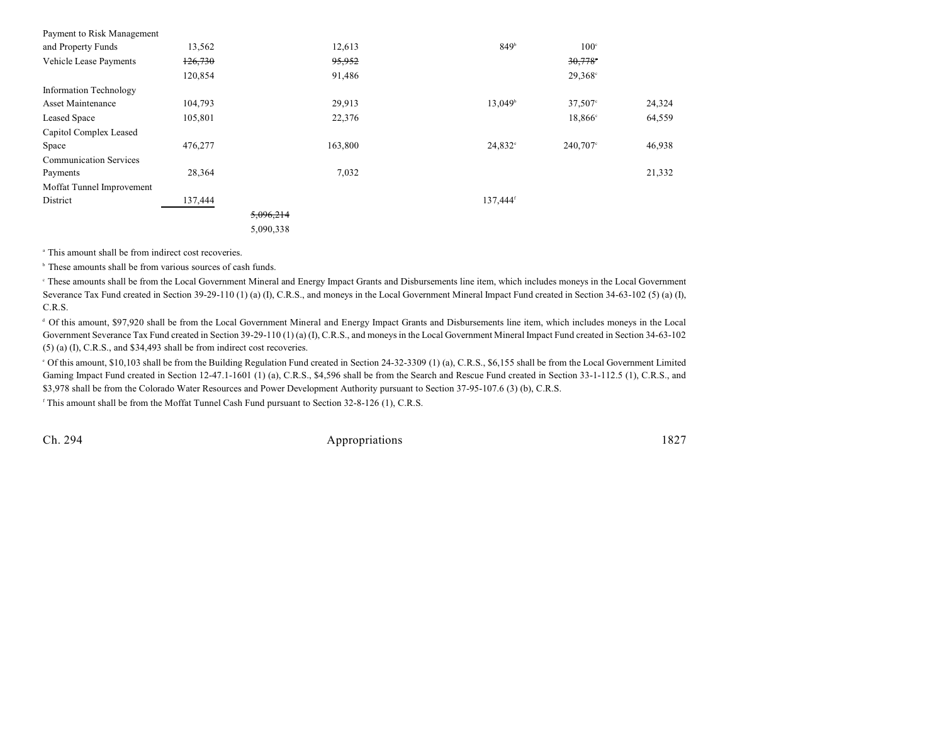| Payment to Risk Management    |         |           |         |                      |                     |        |
|-------------------------------|---------|-----------|---------|----------------------|---------------------|--------|
| and Property Funds            | 13,562  |           | 12,613  | 849 <sup>b</sup>     | $100^{\circ}$       |        |
| Vehicle Lease Payments        | 126,730 |           | 95,952  |                      | 30,778              |        |
|                               | 120,854 |           | 91,486  |                      | $29,368^{\circ}$    |        |
| <b>Information Technology</b> |         |           |         |                      |                     |        |
| Asset Maintenance             | 104,793 |           | 29,913  | 13,049 <sup>b</sup>  | $37,507$ °          | 24,324 |
| <b>Leased Space</b>           | 105,801 |           | 22,376  |                      | 18,866 <sup>c</sup> | 64,559 |
| Capitol Complex Leased        |         |           |         |                      |                     |        |
| Space                         | 476,277 |           | 163,800 | $24,832^{\circ}$     | 240,707°            | 46,938 |
| <b>Communication Services</b> |         |           |         |                      |                     |        |
| Payments                      | 28,364  |           | 7,032   |                      |                     | 21,332 |
| Moffat Tunnel Improvement     |         |           |         |                      |                     |        |
| District                      | 137,444 |           |         | 137,444 <sup>f</sup> |                     |        |
|                               |         | 5,096,214 |         |                      |                     |        |
|                               |         | 5,090,338 |         |                      |                     |        |
|                               |         |           |         |                      |                     |        |

<sup>a</sup> This amount shall be from indirect cost recoveries.

 $\,^{\circ}$  These amounts shall be from various sources of cash funds.

 These amounts shall be from the Local Government Mineral and Energy Impact Grants and Disbursements line item, which includes moneys in the Local Government <sup>c</sup> Severance Tax Fund created in Section 39-29-110 (1) (a) (I), C.R.S., and moneys in the Local Government Mineral Impact Fund created in Section 34-63-102 (5) (a) (I), C.R.S.

Of this amount, \$97,920 shall be from the Local Government Mineral and Energy Impact Grants and Disbursements line item, which includes moneys in the Local <sup>d</sup> Government Severance Tax Fund created in Section 39-29-110 (1) (a) (I), C.R.S., and moneys in the Local Government Mineral Impact Fund created in Section 34-63-102 (5) (a) (I), C.R.S., and \$34,493 shall be from indirect cost recoveries.

Of this amount, \$10,103 shall be from the Building Regulation Fund created in Section 24-32-3309 (1) (a), C.R.S., \$6,155 shall be from the Local Government Limited <sup>e</sup> Gaming Impact Fund created in Section 12-47.1-1601 (1) (a), C.R.S., \$4,596 shall be from the Search and Rescue Fund created in Section 33-1-112.5 (1), C.R.S., and \$3,978 shall be from the Colorado Water Resources and Power Development Authority pursuant to Section 37-95-107.6 (3) (b), C.R.S.

 $\beta$ <sup>r</sup> This amount shall be from the Moffat Tunnel Cash Fund pursuant to Section 32-8-126 (1), C.R.S.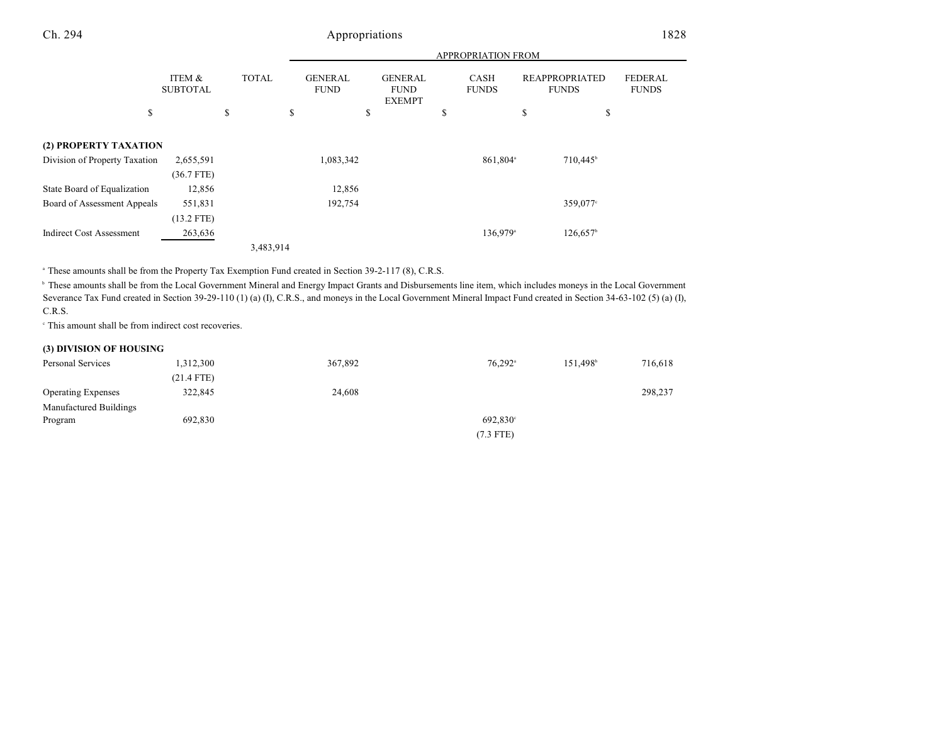|                                 |                           |              |           |                               |                                                | APPROPRIATION FROM          |                                       |                      |                                |
|---------------------------------|---------------------------|--------------|-----------|-------------------------------|------------------------------------------------|-----------------------------|---------------------------------------|----------------------|--------------------------------|
|                                 | ITEM &<br><b>SUBTOTAL</b> | <b>TOTAL</b> |           | <b>GENERAL</b><br><b>FUND</b> | <b>GENERAL</b><br><b>FUND</b><br><b>EXEMPT</b> | <b>CASH</b><br><b>FUNDS</b> | <b>REAPPROPRIATED</b><br><b>FUNDS</b> |                      | <b>FEDERAL</b><br><b>FUNDS</b> |
| \$                              |                           | \$           | \$        |                               | \$                                             | \$                          | \$                                    | \$                   |                                |
| (2) PROPERTY TAXATION           |                           |              |           |                               |                                                |                             |                                       |                      |                                |
| Division of Property Taxation   | 2,655,591                 |              |           | 1,083,342                     |                                                | 861,804 <sup>a</sup>        |                                       | 710,445 <sup>b</sup> |                                |
|                                 | $(36.7$ FTE)              |              |           |                               |                                                |                             |                                       |                      |                                |
| State Board of Equalization     | 12,856                    |              |           | 12,856                        |                                                |                             |                                       |                      |                                |
| Board of Assessment Appeals     | 551,831                   |              |           | 192,754                       |                                                |                             |                                       | 359,077°             |                                |
|                                 | $(13.2$ FTE)              |              |           |                               |                                                |                             |                                       |                      |                                |
| <b>Indirect Cost Assessment</b> | 263,636                   |              |           |                               |                                                | 136,979 <sup>a</sup>        |                                       | 126,657              |                                |
|                                 |                           |              | 3,483,914 |                               |                                                |                             |                                       |                      |                                |

<sup>a</sup> These amounts shall be from the Property Tax Exemption Fund created in Section 39-2-117 (8), C.R.S.

<sup>b</sup> These amounts shall be from the Local Government Mineral and Energy Impact Grants and Disbursements line item, which includes moneys in the Local Government Severance Tax Fund created in Section 39-29-110 (1) (a) (I), C.R.S., and moneys in the Local Government Mineral Impact Fund created in Section 34-63-102 (5) (a) (I), C.R.S.

 $\degree$  This amount shall be from indirect cost recoveries.

#### **(3) DIVISION OF HOUSING**

| Personal Services         | 1,312,300    | 367,892 | $76.292$ <sup>a</sup> | 151.498 <sup>b</sup> | 716,618 |
|---------------------------|--------------|---------|-----------------------|----------------------|---------|
|                           | $(21.4$ FTE) |         |                       |                      |         |
| <b>Operating Expenses</b> | 322,845      | 24,608  |                       |                      | 298,237 |
| Manufactured Buildings    |              |         |                       |                      |         |
| Program                   | 692,830      |         | 692,830 <sup>c</sup>  |                      |         |
|                           |              |         | $(7.3$ FTE)           |                      |         |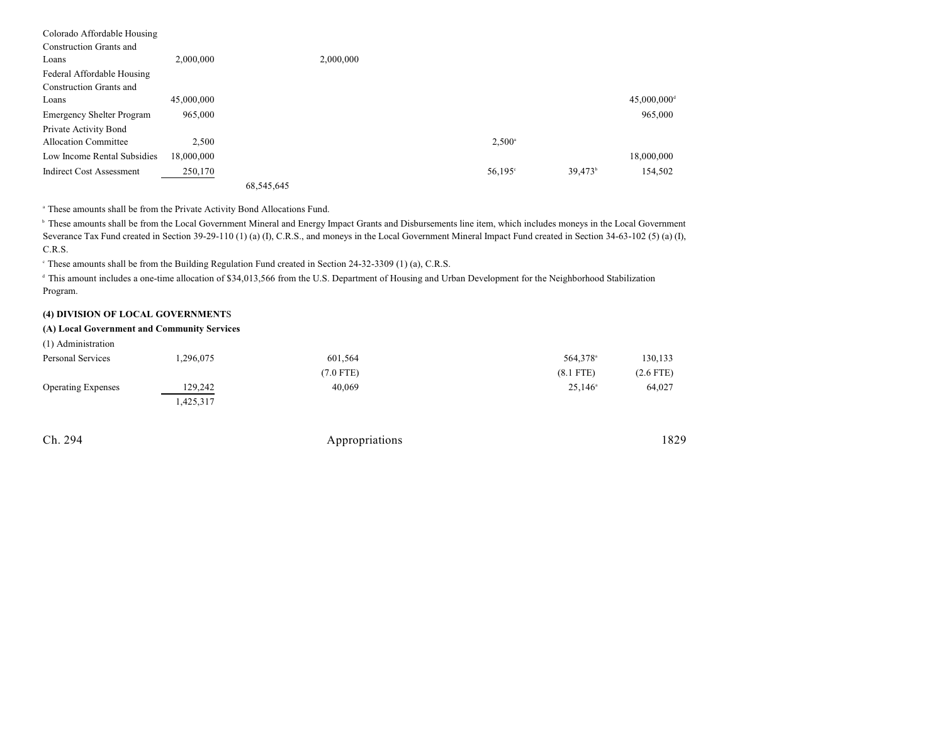| Colorado Affordable Housing      |            |            |           |                 |                  |                           |
|----------------------------------|------------|------------|-----------|-----------------|------------------|---------------------------|
| <b>Construction Grants and</b>   |            |            |           |                 |                  |                           |
| Loans                            | 2,000,000  |            | 2,000,000 |                 |                  |                           |
| Federal Affordable Housing       |            |            |           |                 |                  |                           |
| <b>Construction Grants and</b>   |            |            |           |                 |                  |                           |
| Loans                            | 45,000,000 |            |           |                 |                  | $45,000,000$ <sup>d</sup> |
| <b>Emergency Shelter Program</b> | 965,000    |            |           |                 |                  | 965,000                   |
| Private Activity Bond            |            |            |           |                 |                  |                           |
| <b>Allocation Committee</b>      | 2,500      |            |           | $2,500^{\circ}$ |                  |                           |
| Low Income Rental Subsidies      | 18,000,000 |            |           |                 |                  | 18,000,000                |
| <b>Indirect Cost Assessment</b>  | 250,170    |            |           | 56,195°         | $39.473^{\circ}$ | 154,502                   |
|                                  |            | 68,545,645 |           |                 |                  |                           |

<sup>a</sup> These amounts shall be from the Private Activity Bond Allocations Fund.

<sup>b</sup> These amounts shall be from the Local Government Mineral and Energy Impact Grants and Disbursements line item, which includes moneys in the Local Government Severance Tax Fund created in Section 39-29-110 (1) (a) (I), C.R.S., and moneys in the Local Government Mineral Impact Fund created in Section 34-63-102 (5) (a) (I), C.R.S.

<sup>c</sup> These amounts shall be from the Building Regulation Fund created in Section 24-32-3309 (1) (a), C.R.S.

<sup>d</sup> This amount includes a one-time allocation of \$34,013,566 from the U.S. Department of Housing and Urban Development for the Neighborhood Stabilization Program.

#### **(4) DIVISION OF LOCAL GOVERNMENT**S

### **(A) Local Government and Community Services**

| (1) Administration        |          |             |                      |             |
|---------------------------|----------|-------------|----------------------|-------------|
| Personal Services         | .296,075 | 601,564     | 564,378 <sup>a</sup> | 130,133     |
|                           |          | $(7.0$ FTE) | $(8.1$ FTE)          | $(2.6$ FTE) |
| <b>Operating Expenses</b> | 129,242  | 40,069      | $25,146^{\circ}$     | 64,027      |
|                           | .425,317 |             |                      |             |

| . . | $^{\circ}$<br>1 |
|-----|-----------------|
|     |                 |

Appropriations 1829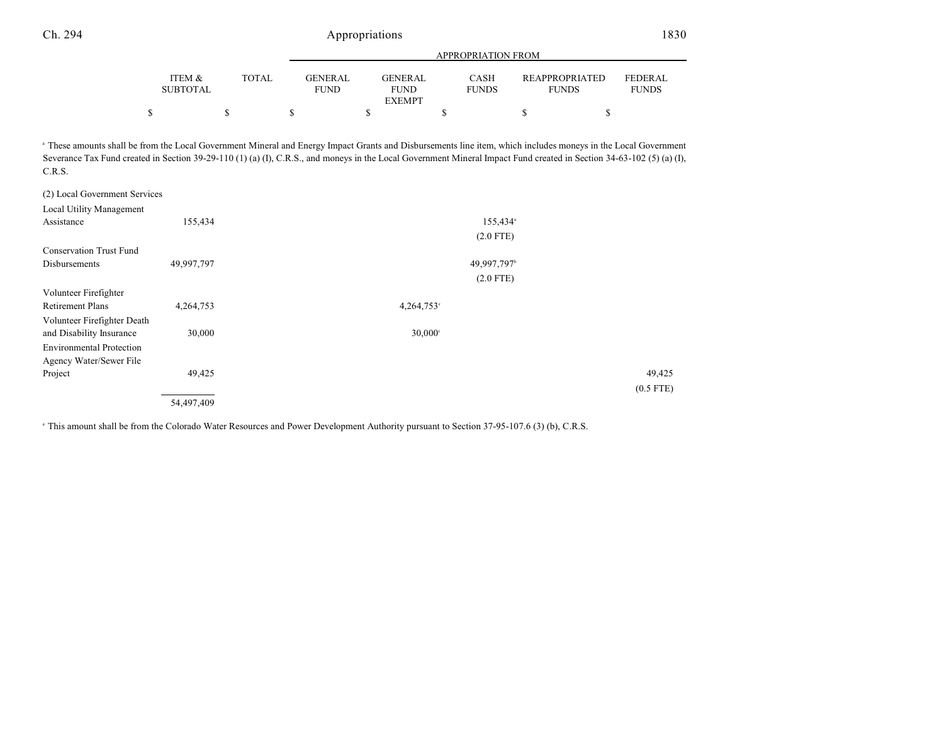|                 |              |                | APPROPRIATION FROM |              |                       |                |  |  |
|-----------------|--------------|----------------|--------------------|--------------|-----------------------|----------------|--|--|
| ITEM &          | <b>TOTAL</b> | <b>GENERAL</b> | GENERAL            | CASH         | <b>REAPPROPRIATED</b> | <b>FEDERAL</b> |  |  |
| <b>SUBTOTAL</b> |              | <b>FUND</b>    | <b>FUND</b>        | <b>FUNDS</b> | <b>FUNDS</b>          | <b>FUNDS</b>   |  |  |
|                 |              |                | <b>EXEMPT</b>      |              |                       |                |  |  |
|                 |              |                |                    |              |                       |                |  |  |

 These amounts shall be from the Local Government Mineral and Energy Impact Grants and Disbursements line item, which includes moneys in the Local Government <sup>a</sup> Severance Tax Fund created in Section 39-29-110 (1) (a) (I), C.R.S., and moneys in the Local Government Mineral Impact Fund created in Section 34-63-102 (5) (a) (I), (I), C.R.S.

| (2) Local Government Services   |            |                         |             |
|---------------------------------|------------|-------------------------|-------------|
| Local Utility Management        |            |                         |             |
| Assistance                      | 155,434    | 155,434 <sup>a</sup>    |             |
|                                 |            | $(2.0$ FTE)             |             |
| <b>Conservation Trust Fund</b>  |            |                         |             |
| Disbursements                   | 49,997,797 | 49,997,797 <sup>b</sup> |             |
|                                 |            | $(2.0$ FTE)             |             |
| Volunteer Firefighter           |            |                         |             |
| <b>Retirement Plans</b>         | 4,264,753  | $4,264,753$ °           |             |
| Volunteer Firefighter Death     |            |                         |             |
| and Disability Insurance        | 30,000     | $30,000^{\circ}$        |             |
| <b>Environmental Protection</b> |            |                         |             |
| Agency Water/Sewer File         |            |                         |             |
| Project                         | 49,425     |                         | 49,425      |
|                                 |            |                         | $(0.5$ FTE) |
|                                 | 54,497,409 |                         |             |

<sup>a</sup> This amount shall be from the Colorado Water Resources and Power Development Authority pursuant to Section 37-95-107.6 (3) (b), C.R.S.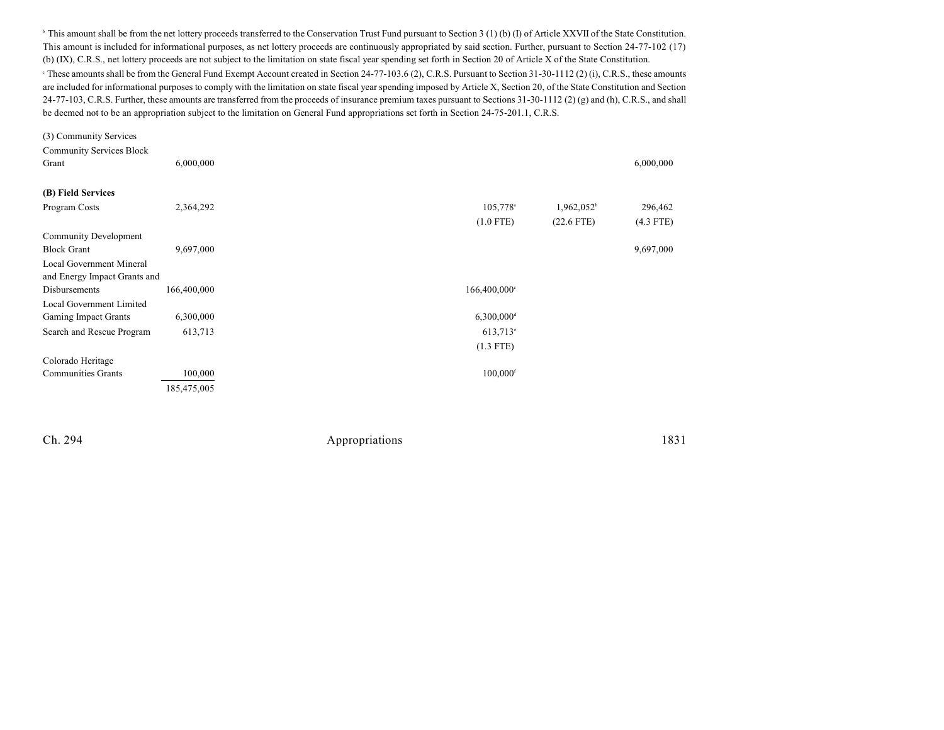<sup>b</sup> This amount shall be from the net lottery proceeds transferred to the Conservation Trust Fund pursuant to Section 3 (1) (b) (I) of Article XXVII of the State Constitution. This amount is included for informational purposes, as net lottery proceeds are continuously appropriated by said section. Further, pursuant to Section 24-77-102 (17) (b) (IX), C.R.S., net lottery proceeds are not subject to the limitation on state fiscal year spending set forth in Section 20 of Article X of the State Constitution.

 $\degree$  These amounts shall be from the General Fund Exempt Account created in Section 24-77-103.6 (2), C.R.S. Pursuant to Section 31-30-1112 (2) (i), C.R.S., these amounts are included for informational purposes to comply with the limitation on state fiscal year spending imposed by Article X, Section 20, of the State Constitution and Section  $24-77-103$ , C.R.S. Further, these amounts are transferred from the proceeds of insurance premium taxes pursuant to Sections  $31-30-1112$  (2) (g) and (h), C.R.S., and shall be deemed not to be an appropriation subject to the limitation on General Fund appropriations set forth in Section 24-75-201.1, C.R.S.

| (3) Community Services          |             |                            |               |             |
|---------------------------------|-------------|----------------------------|---------------|-------------|
| <b>Community Services Block</b> |             |                            |               |             |
| Grant                           | 6,000,000   |                            |               | 6,000,000   |
| (B) Field Services              |             |                            |               |             |
| Program Costs                   | 2,364,292   | 105,778 <sup>a</sup>       | $1,962,052^b$ | 296,462     |
|                                 |             | $(1.0$ FTE)                | $(22.6$ FTE)  | $(4.3$ FTE) |
| <b>Community Development</b>    |             |                            |               |             |
| <b>Block Grant</b>              | 9,697,000   |                            |               | 9,697,000   |
| <b>Local Government Mineral</b> |             |                            |               |             |
| and Energy Impact Grants and    |             |                            |               |             |
| Disbursements                   | 166,400,000 | $166,400,000$ <sup>c</sup> |               |             |
| Local Government Limited        |             |                            |               |             |
| Gaming Impact Grants            | 6,300,000   | $6,300,000$ <sup>d</sup>   |               |             |
| Search and Rescue Program       | 613,713     | $613,713$ °                |               |             |
|                                 |             | $(1.3$ FTE)                |               |             |
| Colorado Heritage               |             |                            |               |             |
| <b>Communities Grants</b>       | 100,000     | $100,000$ <sup>f</sup>     |               |             |
|                                 | 185,475,005 |                            |               |             |
|                                 |             |                            |               |             |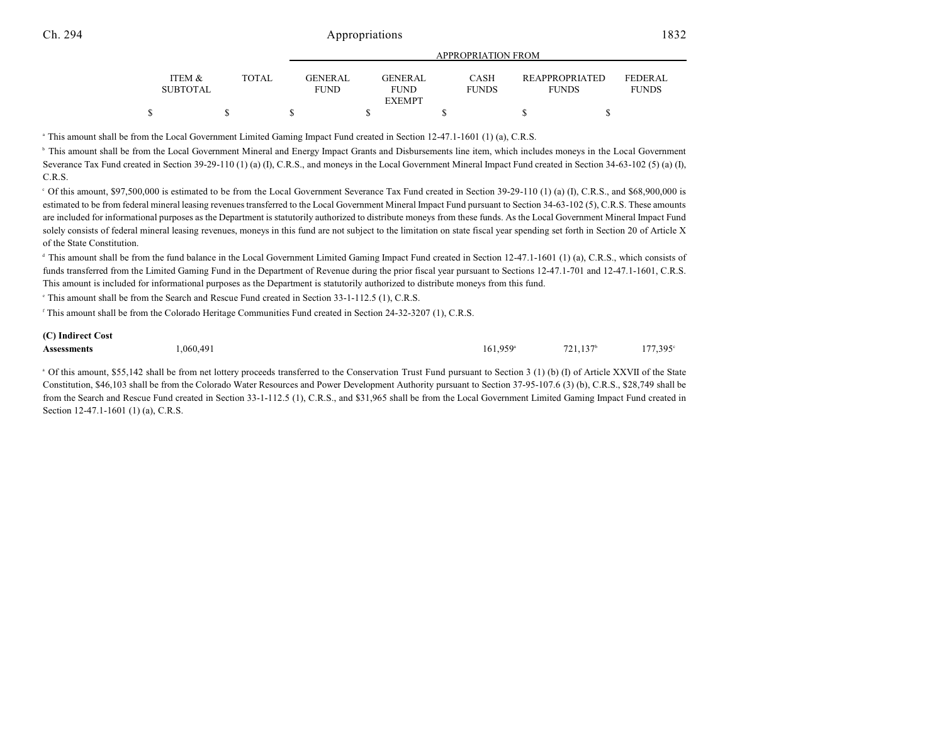|                           |       | ALLINOI INTERIORETINOIVI |                                                |                             |                                       |                                |
|---------------------------|-------|--------------------------|------------------------------------------------|-----------------------------|---------------------------------------|--------------------------------|
| ITEM &<br><b>SUBTOTAL</b> | TOTAL | <b>GENER AL</b><br>FUND. | <b>GENERAL</b><br><b>FUND</b><br><b>EXEMPT</b> | <b>CASH</b><br><b>FUNDS</b> | <b>REAPPROPRIATED</b><br><b>FUNDS</b> | <b>FEDERAL</b><br><b>FUNDS</b> |
|                           |       |                          |                                                |                             |                                       |                                |
|                           |       |                          |                                                |                             |                                       |                                |

APPROPRIATION FROM

<sup>a</sup> This amount shall be from the Local Government Limited Gaming Impact Fund created in Section 12-47.1-1601 (1) (a), C.R.S.

<sup>b</sup> This amount shall be from the Local Government Mineral and Energy Impact Grants and Disbursements line item, which includes moneys in the Local Government Severance Tax Fund created in Section 39-29-110 (1) (a) (I), C.R.S., and moneys in the Local Government Mineral Impact Fund created in Section 34-63-102 (5) (a) (I), C.R.S.

 $\degree$  Of this amount, \$97,500,000 is estimated to be from the Local Government Severance Tax Fund created in Section 39-29-110 (1) (a) (I), C.R.S., and \$68,900,000 is estimated to be from federal mineral leasing revenues transferred to the Local Government Mineral Impact Fund pursuant to Section 34-63-102 (5), C.R.S. These amounts are included for informational purposes as the Department is statutorily authorized to distribute moneys from these funds. As the Local Government Mineral Impact Fund solely consists of federal mineral leasing revenues, moneys in this fund are not subject to the limitation on state fiscal year spending set forth in Section 20 of Article X of the State Constitution.

<sup>d</sup> This amount shall be from the fund balance in the Local Government Limited Gaming Impact Fund created in Section 12-47.1-1601 (1) (a), C.R.S., which consists of funds transferred from the Limited Gaming Fund in the Department of Revenue during the prior fiscal year pursuant to Sections 12-47.1-701 and 12-47.1-1601, C.R.S. This amount is included for informational purposes as the Department is statutorily authorized to distribute moneys from this fund.

 $\degree$  This amount shall be from the Search and Rescue Fund created in Section 33-1-112.5 (1), C.R.S.

<sup>f</sup> This amount shall be from the Colorado Heritage Communities Fund created in Section 24-32-3207 (1), C.R.S.

#### **(C) Indirect Cost Assessments** 1,060,491 161,959<sup>\*</sup> 721,137<sup>\*</sup> 177,395  $161,959^{\circ}$   $721,137^{\circ}$   $177,395^{\circ}$

<sup>a</sup> Of this amount, \$55,142 shall be from net lottery proceeds transferred to the Conservation Trust Fund pursuant to Section 3 (1) (b) (I) of Article XXVII of the State Constitution, \$46,103 shall be from the Colorado Water Resources and Power Development Authority pursuant to Section 37-95-107.6 (3) (b), C.R.S., \$28,749 shall be from the Search and Rescue Fund created in Section 33-1-112.5 (1), C.R.S., and \$31,965 shall be from the Local Government Limited Gaming Impact Fund created in Section 12-47.1-1601 (1) (a), C.R.S.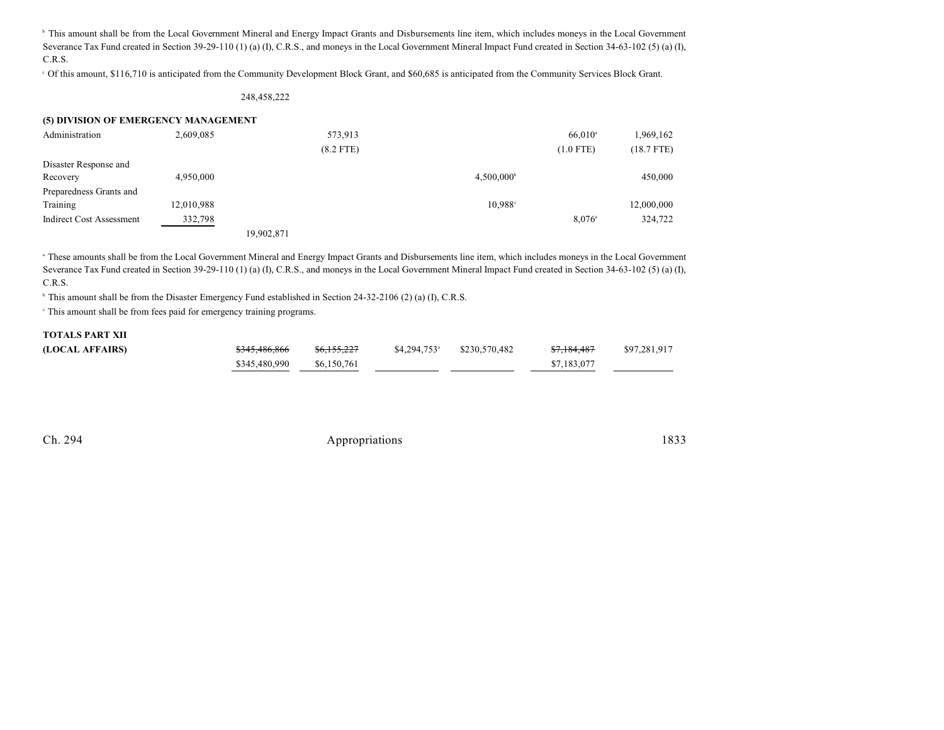<sup>b</sup> This amount shall be from the Local Government Mineral and Energy Impact Grants and Disbursements line item, which includes moneys in the Local Government Severance Tax Fund created in Section 39-29-110 (1) (a) (I), C.R.S., and moneys in the Local Government Mineral Impact Fund created in Section 34-63-102 (5) (a) (I), C.R.S.

Of this amount, \$116,710 is anticipated from the Community Development Block Grant, and \$60,685 is anticipated from the Community Services Block Grant. <sup>c</sup>

#### 248,458,222

| (5) DIVISION OF EMERGENCY MANAGEMENT |            |            |             |                          |                  |              |
|--------------------------------------|------------|------------|-------------|--------------------------|------------------|--------------|
| Administration                       | 2,609,085  |            | 573,913     |                          | $66,010^{\circ}$ | 1,969,162    |
|                                      |            |            | $(8.2$ FTE) |                          | $(1.0$ FTE)      | $(18.7$ FTE) |
| Disaster Response and                |            |            |             |                          |                  |              |
| Recovery                             | 4,950,000  |            |             | $4.500.000$ <sup>b</sup> |                  | 450,000      |
| Preparedness Grants and              |            |            |             |                          |                  |              |
| Training                             | 12,010,988 |            |             | $10.988^{\circ}$         |                  | 12,000,000   |
| <b>Indirect Cost Assessment</b>      | 332,798    |            |             |                          | $8.076^{\circ}$  | 324,722      |
|                                      |            | 19.902.871 |             |                          |                  |              |

 These amounts shall be from the Local Government Mineral and Energy Impact Grants and Disbursements line item, which includes moneys in the Local Government <sup>a</sup> Severance Tax Fund created in Section 39-29-110 (1) (a) (I), C.R.S., and moneys in the Local Government Mineral Impact Fund created in Section 34-63-102 (5) (a) (I), C.R.S.

<sup>b</sup> This amount shall be from the Disaster Emergency Fund established in Section 24-32-2106 (2) (a) (I), C.R.S.

This amount shall be from fees paid for emergency training programs. <sup>c</sup>

#### **TOTALS PART XII**

| (LOCAL AFFAIRS) | <del>\$345,486,866</del> | <del>\$6,155,227</del> | $$4,294,753$ <sup>a</sup> $$230,570,482$ | <del>87.184.487</del> | \$97,281,917 |
|-----------------|--------------------------|------------------------|------------------------------------------|-----------------------|--------------|
|                 | \$345,480,990            | \$6,150,761            |                                          | \$7,183,077           |              |